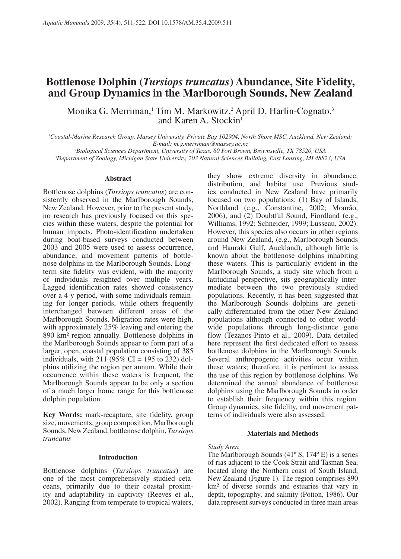# **Bottlenose Dolphin (***Tursiops truncatus***) Abundance, Site Fidelity, and Group Dynamics in the Marlborough Sounds, New Zealand**

Monika G. Merriman,<sup>1</sup> Tim M. Markowitz,<sup>2</sup> April D. Harlin-Cognato,<sup>3</sup> and Karen A. Stockin<sup>1</sup>

<sup>1</sup> Coastal-Marine Research Group, Massey University, Private Bag 102904, North Shore MSC, Auckland, New Zealand; *E-mail: m.g.merriman@massey.ac.nz 2*

*Biological Sciences Department, University of Texas, 80 Fort Brown, Brownsville, TX 78520, USA 3*

*Department of Zoology, Michigan State University, 203 Natural Sciences Building, East Lansing, MI 48823, USA* 

## **Abstract**

Bottlenose dolphins (*Tursiops truncatus*) are consistently observed in the Marlborough Sounds, New Zealand. However, prior to the present study, no research has previously focused on this species within these waters, despite the potential for human impacts. Photo-identification undertaken during boat-based surveys conducted between 2003 and 2005 were used to assess occurrence, abundance, and movement patterns of bottlenose dolphins in the Marlborough Sounds. Longterm site fidelity was evident, with the majority of individuals resighted over multiple years. Lagged identification rates showed consistency over a 4-y period, with some individuals remaining for longer periods, while others frequently interchanged between different areas of the Marlborough Sounds. Migration rates were high, with approximately 25% leaving and entering the 890 km² region annually. Bottlenose dolphins in the Marlborough Sounds appear to form part of a larger, open, coastal population consisting of 385 individuals, with  $211 \overline{0.95\% \text{ CI}} = 195$  to  $232 \overline{0.232}$ phins utilizing the region per annum. While their occurrence within these waters is frequent, the Marlborough Sounds appear to be only a section of a much larger home range for this bottlenose dolphin population.

**Key Words:** mark-recapture, site fidelity, group size, movements, group composition, Marlborough Sounds, New Zealand, bottlenose dolphin, *Tursiops truncatus*

## **Introduction**

Bottlenose dolphins (*Tursiops truncatus*) are one of the most comprehensively studied cetaceans, primarily due to their coastal proximity and adaptability in captivity (Reeves et al., 2002). Ranging from temperate to tropical waters, they show extreme diversity in abundance, distribution, and habitat use. Previous studies conducted in New Zealand have primarily focused on two populations: (1) Bay of Islands, Northland (e.g., Constantine, 2002; Mourão, 2006), and (2) Doubtful Sound, Fiordland (e.g., Williams, 1992; Schneider, 1999; Lusseau, 2002). However, this species also occurs in other regions around New Zealand, (e.g., Marlborough Sounds and Hauraki Gulf, Auckland), although little is known about the bottlenose dolphins inhabiting these waters. This is particularly evident in the Marlborough Sounds, a study site which from a latitudinal perspective, sits geographically intermediate between the two previously studied populations. Recently, it has been suggested that the Marlborough Sounds dolphins are genetically differentiated from the other New Zealand populations although connected to other worldwide populations through long-distance gene flow (Tezanos-Pinto et al., 2009). Data detailed here represent the first dedicated effort to assess bottlenose dolphins in the Marlborough Sounds. Several anthropogenic activities occur within these waters; therefore, it is pertinent to assess the use of this region by bottlenose dolphins. We determined the annual abundance of bottlenose dolphins using the Marlborough Sounds in order to establish their frequency within this region. Group dynamics, site fidelity, and movement patterns of individuals were also assessed.

## **Materials and Methods**

#### *Study Area*

The Marlborough Sounds (41º S, 174º E) is a series of rias adjacent to the Cook Strait and Tasman Sea, located along the Northern coast of South Island, New Zealand (Figure 1). The region comprises 890 km² of diverse sounds and estuaries that vary in depth, topography, and salinity (Potton, 1986). Our data represent surveys conducted in three main areas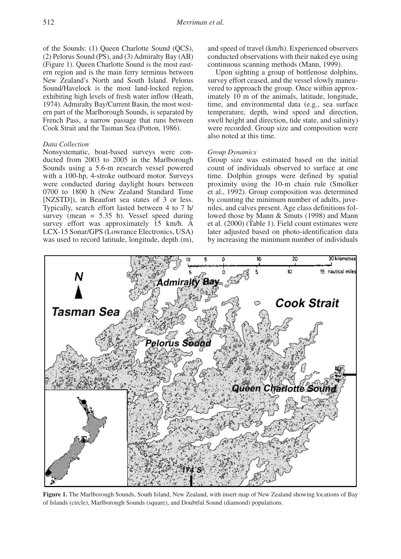of the Sounds: (1) Queen Charlotte Sound (QCS), (2) Pelorus Sound (PS), and (3) Admiralty Bay (AB) (Figure 1). Queen Charlotte Sound is the most eastern region and is the main ferry terminus between New Zealand's North and South Island. Pelorus Sound/Havelock is the most land-locked region, exhibiting high levels of fresh water inflow (Heath, 1974). Admiralty Bay/Current Basin, the most western part of the Marlborough Sounds, is separated by French Pass, a narrow passage that runs between Cook Strait and the Tasman Sea (Potton, 1986).

# *Data Collection*

Nonsystematic, boat-based surveys were conducted from 2003 to 2005 in the Marlborough Sounds using a 5.6-m research vessel powered with a 100-hp, 4-stroke outboard motor. Surveys were conducted during daylight hours between 0700 to 1800 h (New Zealand Standard Time [NZSTD]), in Beaufort sea states of 3 or less. Typically, search effort lasted between 4 to 7 h/ survey (mean  $= 5.35$  h). Vessel speed during survey effort was approximately 15 km/h. A LCX-15 Sonar/GPS (Lowrance Electronics, USA) was used to record latitude, longitude, depth (m),

and speed of travel (km/h). Experienced observers conducted observations with their naked eye using continuous scanning methods (Mann, 1999).

Upon sighting a group of bottlenose dolphins, survey effort ceased, and the vessel slowly maneuvered to approach the group. Once within approximately 10 m of the animals, latitude, longitude, time, and environmental data (e.g., sea surface temperature, depth, wind speed and direction, swell height and direction, tide state, and salinity) were recorded. Group size and composition were also noted at this time.

## *Group Dynamics*

Group size was estimated based on the initial count of individuals observed to surface at one time. Dolphin groups were defined by spatial proximity using the 10-m chain rule (Smolker et al., 1992). Group composition was determined by counting the minimum number of adults, juveniles, and calves present. Age class definitions followed those by Mann & Smuts (1998) and Mann et al. (2000) (Table 1). Field count estimates were later adjusted based on photo-identification data by increasing the minimum number of individuals



of Islands (circle), Marlborough Sounds (square), and Doubtful Sound (diamond) populations. **Figure 1.** The Marlborough Sounds, South Island, New Zealand, with insert map of New Zealand showing locations of Bay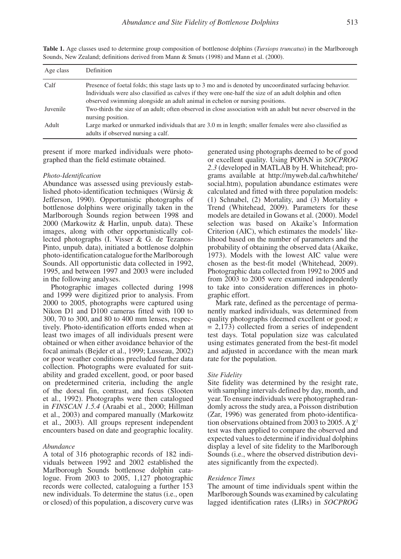| Age class | <b>Definition</b>                                                                                                                                                                                                                                                                                    |
|-----------|------------------------------------------------------------------------------------------------------------------------------------------------------------------------------------------------------------------------------------------------------------------------------------------------------|
| Calf      | Presence of foetal folds; this stage lasts up to 3 mo and is denoted by uncoordinated surfacing behavior.<br>Individuals were also classified as calves if they were one-half the size of an adult dolphin and often<br>observed swimming alongside an adult animal in echelon or nursing positions. |
| Juvenile  | Two-thirds the size of an adult; often observed in close association with an adult but never observed in the<br>nursing position.                                                                                                                                                                    |
| Adult     | Large marked or unmarked individuals that are 3.0 m in length; smaller females were also classified as<br>adults if observed nursing a calf.                                                                                                                                                         |

**Table 1.** Age classes used to determine group composition of bottlenose dolphins (*Tursiops truncatus*) in the Marlborough Sounds, New Zealand; definitions derived from Mann & Smuts (1998) and Mann et al. (2000).

present if more marked individuals were photographed than the field estimate obtained.

#### *Photo-Identification*

Abundance was assessed using previously established photo-identification techniques (Würsig & Jefferson, 1990). Opportunistic photographs of bottlenose dolphins were originally taken in the Marlborough Sounds region between 1998 and 2000 (Markowitz & Harlin, unpub. data). These images, along with other opportunistically collected photographs (I. Visser & G. de Tezanos-Pinto, unpub. data), initiated a bottlenose dolphin photo-identification catalogue for the Marlborough Sounds. All opportunistic data collected in 1992, 1995, and between 1997 and 2003 were included in the following analyses.

Photographic images collected during 1998 and 1999 were digitized prior to analysis. From 2000 to 2005, photographs were captured using Nikon D1 and D100 cameras fitted with 100 to 300, 70 to 300, and 80 to 400 mm lenses, respectively. Photo-identification efforts ended when at least two images of all individuals present were obtained or when either avoidance behavior of the focal animals (Bejder et al., 1999; Lusseau, 2002) or poor weather conditions precluded further data collection. Photographs were evaluated for suitability and graded excellent, good, or poor based on predetermined criteria, including the angle of the dorsal fin, contrast, and focus (Slooten et al., 1992). Photographs were then catalogued in *FINSCAN 1.5.4* (Araabi et al., 2000; Hillman et al., 2003) and compared manually (Markowitz et al., 2003). All groups represent independent encounters based on date and geographic locality.

## *Abundance*

A total of 316 photographic records of 182 individuals between 1992 and 2002 established the Marlborough Sounds bottlenose dolphin catalogue. From 2003 to 2005, 1,127 photographic records were collected, cataloguing a further 153 new individuals. To determine the status (i.e., open or closed) of this population, a discovery curve was generated using photographs deemed to be of good or excellent quality. Using POPAN in *SOCPROG 2.3* (developed in MATLAB by H. Whitehead; programs available at http://myweb.dal.ca/hwhitehe/ social.htm), population abundance estimates were calculated and fitted with three population models: (1) Schnabel, (2) Mortality, and (3) Mortality + Trend (Whitehead, 2009). Parameters for these models are detailed in Gowans et al. (2000). Model selection was based on Akaike's Information Criterion (AIC), which estimates the models' likelihood based on the number of parameters and the probability of obtaining the observed data (Akaike, 1973). Models with the lowest AIC value were chosen as the best-fit model (Whitehead, 2009). Photographic data collected from 1992 to 2005 and from 2003 to 2005 were examined independently to take into consideration differences in photographic effort.

Mark rate, defined as the percentage of permanently marked individuals, was determined from quality photographs (deemed excellent or good; *n*  $= 2,173$ ) collected from a series of independent test days. Total population size was calculated using estimates generated from the best-fit model and adjusted in accordance with the mean mark rate for the population.

## *Site Fidelity*

Site fidelity was determined by the resight rate, with sampling intervals defined by day, month, and year. To ensure individuals were photographed randomly across the study area, a Poisson distribution (Zar, 1996) was generated from photo-identification observations obtained from 2003 to 2005. A  $\chi^2$ test was then applied to compare the observed and expected values to determine if individual dolphins display a level of site fidelity to the Marlborough Sounds (i.e., where the observed distribution deviates significantly from the expected).

#### *Residence Times*

The amount of time individuals spent within the Marlborough Sounds was examined by calculating lagged identification rates (LIRs) in *SOCPROG*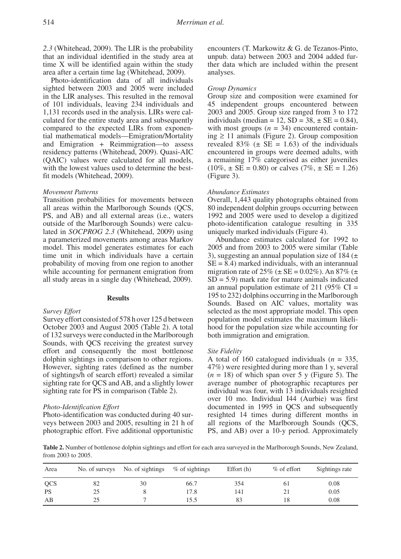*2.3* (Whitehead, 2009). The LIR is the probability that an individual identified in the study area at time X will be identified again within the study area after a certain time lag (Whitehead, 2009).

Photo-identification data of all individuals sighted between 2003 and 2005 were included in the LIR analyses. This resulted in the removal of 101 individuals, leaving 234 individuals and 1,131 records used in the analysis. LIRs were calculated for the entire study area and subsequently compared to the expected LIRs from exponential mathematical models—Emigration/Mortality and Emigration + Reimmigration—to assess residency patterns (Whitehead, 2009). Quasi-AIC (QAIC) values were calculated for all models, with the lowest values used to determine the bestfit models (Whitehead, 2009).

## *Movement Patterns*

Transition probabilities for movements between all areas within the Marlborough Sounds (QCS, PS, and AB) and all external areas (i.e., waters outside of the Marlborough Sounds) were calculated in *SOCPROG 2.3* (Whitehead, 2009) using a parameterized movements among areas Markov model. This model generates estimates for each time unit in which individuals have a certain probability of moving from one region to another while accounting for permanent emigration from all study areas in a single day (Whitehead, 2009).

### **Results**

#### *Survey Effort*

Survey effort consisted of 578 h over 125 d between October 2003 and August 2005 (Table 2). A total of 132 surveys were conducted in the Marlborough Sounds, with QCS receiving the greatest survey effort and consequently the most bottlenose dolphin sightings in comparison to other regions. However, sighting rates (defined as the number of sightings/h of search effort) revealed a similar sighting rate for QCS and AB, and a slightly lower sighting rate for PS in comparison (Table 2).

#### *Photo-Identification Effort*

Photo-identification was conducted during 40 surveys between 2003 and 2005, resulting in 21 h of photographic effort. Five additional opportunistic

encounters (T. Markowitz & G. de Tezanos-Pinto, unpub. data) between 2003 and 2004 added further data which are included within the present analyses.

## *Group Dynamics*

Group size and composition were examined for 45 independent groups encountered between 2003 and 2005. Group size ranged from 3 to 172 individuals (median = 12,  $SD = 38$ ,  $\pm SE = 0.84$ ), with most groups  $(n = 34)$  encountered containing ≥ 11 animals (Figure 2). Group composition revealed 83% ( $\pm$  SE = 1.63) of the individuals encountered in groups were deemed adults, with a remaining 17% categorised as either juveniles  $(10\%, \pm \text{SE} = 0.80)$  or calves  $(7\%, \pm \text{SE} = 1.26)$ (Figure 3).

## *Abundance Estimates*

Overall, 1,443 quality photographs obtained from 80 independent dolphin groups occurring between 1992 and 2005 were used to develop a digitized photo-identification catalogue resulting in 335 uniquely marked individuals (Figure 4).

Abundance estimates calculated for 1992 to 2005 and from 2003 to 2005 were similar (Table 3), suggesting an annual population size of 184 ( $\pm$  $SE = 8.4$ ) marked individuals, with an interannual migration rate of  $25\%$  ( $\pm$  SE = 0.02%). An 87% ( $\pm$  $SD = 5.9$ ) mark rate for mature animals indicated an annual population estimate of 211 (95%  $CI =$ 195 to 232) dolphins occurring in the Marlborough Sounds. Based on AIC values, mortality was selected as the most appropriate model. This open population model estimates the maximum likelihood for the population size while accounting for both immigration and emigration.

# *Site Fidelity*

A total of 160 catalogued individuals  $(n = 335)$ , 47%) were resighted during more than 1 y, several  $(n = 18)$  of which span over 5 y (Figure 5). The average number of photographic recaptures per individual was four, with 13 individuals resighted over 10 mo. Individual I44 (Aurbie) was first documented in 1995 in QCS and subsequently resighted 14 times during different months in all regions of the Marlborough Sounds (QCS, PS, and AB) over a 10-y period. Approximately

**Table 2.** Number of bottlenose dolphin sightings and effort for each area surveyed in the Marlborough Sounds, New Zealand, from 2003 to 2005.

| Area       |    | No. of surveys No. of sightings | % of sightings | Effort $(h)$ | $%$ of effort | Sightings rate |
|------------|----|---------------------------------|----------------|--------------|---------------|----------------|
| <b>OCS</b> | 82 | 30                              | 66.7           | 354          | 61            | 0.08           |
| <b>PS</b>  | 25 |                                 | 17.8           | 141          | 21            | 0.05           |
| AВ         | 25 |                                 | 15.5           | 83           | 18            | 0.08           |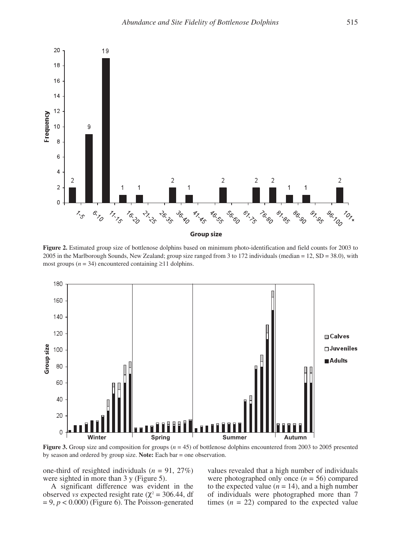

2005 in the Marlborough Sounds, New Zealand; group size ranged from 3 to 172 individuals (median = 12, SD = 38.0), with **Figure 2.** Estimated group size of bottlenose dolphins based on minimum photo-identification and field counts for 2003 to most groups ( $n = 34$ ) encountered containing  $\geq 11$  dolphins.



**Figure 3.** Group size and composition for groups ( $n = 45$ ) of bottlenose dolphins encountered from 2003 to 2005 presented

one-third of resighted individuals (*n* = 91, 27%) were sighted in more than  $3 \text{ y}$  (Figure 5).

A significant difference was evident in the observed *vs* expected resight rate ( $\chi^2$  = 306.44, df  $= 9, p < 0.000$ ) (Figure 6). The Poisson-generated

one-third of resighted individuals ( $n = 91, 27\%$ ) values revealed that a high number of individuals were photographed only once  $(n = 56)$  compared to the expected value  $(n = 14)$ , and a high number of individuals were photographed more than 7 times  $(n = 22)$  compared to the expected value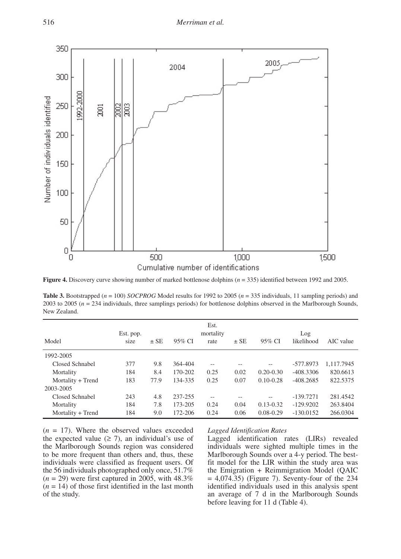

**Figure 4.** Discovery curve showing number of marked bottlenose dolphins (*n* = 335) identified between 1992 and 2005.

**Table 3.** Bootstrapped (*n* = 100) *SOCPROG* Model results for 1992 to 2005 (*n* = 335 individuals, 11 sampling periods) and 2002 to 2005 (*n* = 224 individuals, there exercises a single) for harthcare delabing absorptio 2003 to 2005 (*n* = 234 individuals, three samplings periods) for bottlenose dolphins observed in the Marlborough Sounds, New Zealand.

| Model             | Est. pop.<br>size | $\pm$ SE | 95% CI  | Est.<br>mortality<br>rate | $\pm$ SE | 95% CI        | Log<br>likelihood | AIC value  |
|-------------------|-------------------|----------|---------|---------------------------|----------|---------------|-------------------|------------|
| 1992-2005         |                   |          |         |                           |          |               |                   |            |
| Closed Schnabel   | 377               | 9.8      | 364-404 | $\sim$                    |          | --            | $-577.8973$       | 1.117.7945 |
| Mortality         | 184               | 8.4      | 170-202 | 0.25                      | 0.02     | $0.20 - 0.30$ | $-408.3306$       | 820.6613   |
| Mortality + Trend | 183               | 77.9     | 134-335 | 0.25                      | 0.07     | $0.10 - 0.28$ | $-408.2685$       | 822.5375   |
| 2003-2005         |                   |          |         |                           |          |               |                   |            |
| Closed Schnabel   | 243               | 4.8      | 237-255 | $-$                       |          | --            | $-139.7271$       | 281.4542   |
| Mortality         | 184               | 7.8      | 173-205 | 0.24                      | 0.04     | $0.13 - 0.32$ | $-129.9202$       | 263.8404   |
| Mortality + Trend | 184               | 9.0      | 172-206 | 0.24                      | 0.06     | $0.08 - 0.29$ | $-130.0152$       | 266.0304   |

 $(n = 17)$ . Where the observed values exceeded the expected value  $(≥ 7)$ , an individual's use of the Marlborough Sounds region was considered to be more frequent than others and, thus, these individuals were classified as frequent users. Of the 56 individuals photographed only once, 51.7%  $(n = 29)$  were first captured in 2005, with 48.3%  $(n = 14)$  of those first identified in the last month of the study.

## *Lagged Identification Rates*

Lagged identification rates (LIRs) revealed individuals were sighted multiple times in the Marlborough Sounds over a 4-y period. The bestfit model for the LIR within the study area was the Emigration + Reimmigration Model (QAIC  $= 4,074.35$ ) (Figure 7). Seventy-four of the 234 identified individuals used in this analysis spent an average of 7 d in the Marlborough Sounds before leaving for 11 d (Table 4).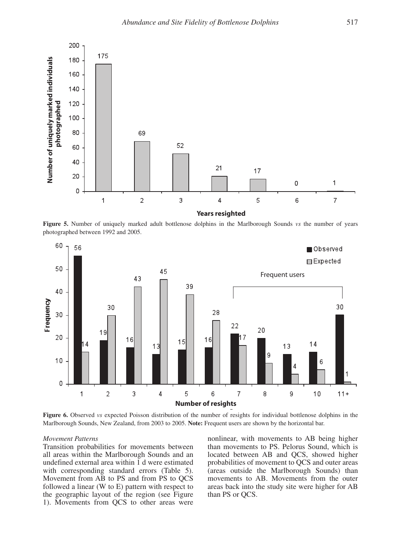

**Figure 5.** Number of uniquely marked adult bottlenose dolphins in the Marlborough Sounds *vs* the number of years photographed between 1992 and 2005.



Marlborough Sounds, New Zealand, from 2003 to 2005. Note: Frequent users are shown by the horizontal bar. **Figure 6.** Observed *vs* expected Poisson distribution of the number of resights for individual bottlenose dolphins in the

## *Movement Patterns*

Transition probabilities for movements between all areas within the Marlborough Sounds and an undefined external area within 1 d were estimated with corresponding standard errors (Table 5). Movement from AB to PS and from PS to QCS followed a linear (W to E) pattern with respect to the geographic layout of the region (see Figure 1). Movements from QCS to other areas were

Movement Patterns **Movement Patterns nonlinear**, with movements to AB being higher than movements to PS. Pelorus Sound, which is located between AB and QCS, showed higher probabilities of movement to QCS and outer areas (areas outside the Marlborough Sounds) than movements to AB. Movements from the outer areas back into the study site were higher for AB than PS or QCS.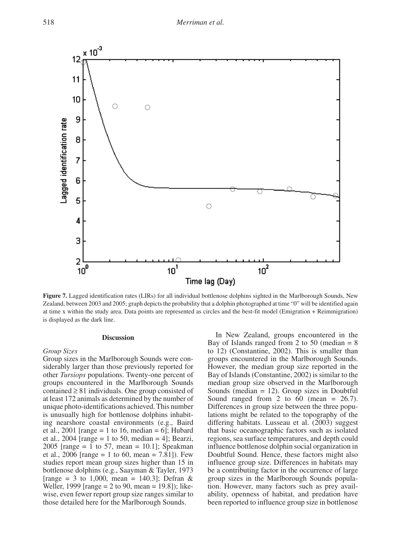

**Figure 7.** Lagged identification rates (LIRs) for all individual bottlenose dolphins sighted in the Marlborough Sounds, New Zealand, between 2003 and 2005; graph depicts the probability that a dolphin photographed at time "0" will be identified again at time x within the study area. Data points are represented as circles and the best-fit model (Emigration + Reimmigration) is displayed as the dark line.

## **Discussion**

# *Group Sizes*

Group sizes in the Marlborough Sounds were considerably larger than those previously reported for other *Tursiops* populations. Twenty-one percent of groups encountered in the Marlborough Sounds contained  $\geq 81$  individuals. One group consisted of at least 172 animals as determined by the number of unique photo-identifications achieved. This number is unusually high for bottlenose dolphins inhabiting nearshore coastal environments (e.g., Baird et al., 2001 [range = 1 to 16, median = 6]; Hubard et al., 2004 [range = 1 to 50, median = 4]; Bearzi, 2005 [range = 1 to 57, mean = 10.1]; Speakman et al., 2006 [range = 1 to 60, mean = 7.81]). Few studies report mean group sizes higher than 15 in bottlenose dolphins (e.g., Saayman & Tayler, 1973 [range = 3 to 1,000, mean = 140.3]; Defran & Weller, 1999 [range = 2 to 90, mean = 19.8]); likewise, even fewer report group size ranges similar to those detailed here for the Marlborough Sounds.

In New Zealand, groups encountered in the Bay of Islands ranged from 2 to 50 (median  $= 8$ to 12) (Constantine, 2002). This is smaller than groups encountered in the Marlborough Sounds. However, the median group size reported in the Bay of Islands (Constantine, 2002) is similar to the median group size observed in the Marlborough Sounds (median  $= 12$ ). Group sizes in Doubtful Sound ranged from 2 to 60 (mean  $= 26.7$ ). Differences in group size between the three populations might be related to the topography of the differing habitats. Lusseau et al. (2003) suggest that basic oceanographic factors such as isolated regions, sea surface temperatures, and depth could influence bottlenose dolphin social organization in Doubtful Sound. Hence, these factors might also influence group size. Differences in habitats may be a contributing factor in the occurrence of large group sizes in the Marlborough Sounds population. However, many factors such as prey availability, openness of habitat, and predation have been reported to influence group size in bottlenose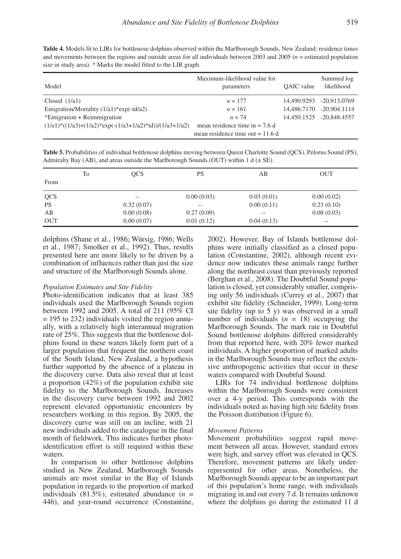**Table 4.** Models fit to LIRs for bottlenose dolphins observed within the Marlborough Sounds, New Zealand; residence times and movements between the regions and outside areas for all individuals between 2003 and 2005 (*n* = estimated population size in study area). \* Marks the model fitted to the LIR graph.

| Model                                                     | Maximum-likelihood value for<br>parameters | <b>OAIC</b> value | Summed log<br>likelihood |
|-----------------------------------------------------------|--------------------------------------------|-------------------|--------------------------|
| Closed $(1/a1)$                                           | $n = 177$                                  |                   | 14,490.9293 -20,913.0769 |
| Emigration/Mortality $(1/a1)$ *exp $(-td/a2)$             | $n = 161$                                  | 14,486,7170       | $-20.904.1114$           |
| $*$ Emigration + Reimmigration                            | $n = 74$                                   |                   | 14.450.1525 -20.848.4557 |
| $(1/a1)*((1/a3)+(1/a2)*exp(-(1/a3+1/a2)*td))/(1/a3+1/a2)$ | mean residence time in $= 7.6$ d           |                   |                          |
|                                                           | mean residence time out $= 11.6$ d         |                   |                          |

**Table 5.** Probabilities of individual bottlenose dolphins moving between Queen Charlotte Sound (QCS), Pelorus Sound (PS), Admiralty Bay (AB), and areas outside the Marlborough Sounds (OUT) within 1 d  $(\pm$  SE).

|            | To | <b>OCS</b>        | PS         | AВ                | <b>OUT</b> |
|------------|----|-------------------|------------|-------------------|------------|
| From       |    |                   |            |                   |            |
| <b>QCS</b> |    | $\qquad \qquad -$ | 0.00(0.03) | 0.03(0.01)        | 0.00(0.02) |
| <b>PS</b>  |    | 0.32(0.07)        | $- -$      | 0.00(0.11)        | 0.23(0.10) |
| AB         |    | 0.00(0.08)        | 0.27(0.09) | $\qquad \qquad -$ | 0.08(0.03) |
| <b>OUT</b> |    | 0.00(0.07)        | 0.01(0.12) | 0.04(0.13)        | $- -$      |

dolphins (Shane et al., 1986; Würsig, 1986; Wells et al., 1987; Smolker et al., 1992). Thus, results presented here are more likely to be driven by a combination of influences rather than just the size and structure of the Marlborough Sounds alone.

## *Population Estimates and Site Fidelity*

Photo-identification indicates that at least 385 individuals used the Marlborough Sounds region between 1992 and 2005. A total of 211 (95% CI = 195 to 232) individuals visited the region annually, with a relatively high interannual migration rate of 25%. This suggests that the bottlenose dolphins found in these waters likely form part of a larger population that frequent the northern coast of the South Island, New Zealand, a hypothesis further supported by the absence of a plateau in the discovery curve. Data also reveal that at least a proportion (42%) of the population exhibit site fidelity to the Marlborough Sounds. Increases in the discovery curve between 1992 and 2002 represent elevated opportunistic encounters by researchers working in this region. By 2005, the discovery curve was still on an incline, with 21 new individuals added to the catalogue in the final month of fieldwork. This indicates further photoidentification effort is still required within these waters.

In comparison to other bottlenose dolphins studied in New Zealand, Marlborough Sounds animals are most similar to the Bay of Islands population in regards to the proportion of marked individuals  $(81.5\%)$ , estimated abundance  $(n =$ 446), and year-round occurrence (Constantine,

2002). However, Bay of Islands bottlenose dolphins were initially classified as a closed population (Constantine, 2002), although recent evidence now indicates these animals range further along the northeast coast than previously reported (Berghan et al., 2008). The Doubtful Sound population is closed, yet considerably smaller, comprising only 56 individuals (Currey et al., 2007) that exhibit site fidelity (Schneider, 1999). Long-term site fidelity (up to 5 y) was observed in a small number of individuals  $(n = 18)$  occupying the Marlborough Sounds. The mark rate in Doubtful Sound bottlenose dolphins differed considerably from that reported here, with 20% fewer marked individuals. A higher proportion of marked adults in the Marlborough Sounds may reflect the extensive anthropogenic activities that occur in these waters compared with Doubtful Sound.

LIRs for 74 individual bottlenose dolphins within the Marlborough Sounds were consistent over a 4-y period. This corresponds with the individuals noted as having high site fidelity from the Poisson distribution (Figure 6).

## *Movement Patterns*

Movement probabilities suggest rapid movement between all areas. However, standard errors were high, and survey effort was elevated in QCS. Therefore, movement patterns are likely underrepresented for other areas. Nonetheless, the Marlborough Sounds appear to be an important part of this population's home range, with individuals migrating in and out every 7 d. It remains unknown where the dolphins go during the estimated 11 d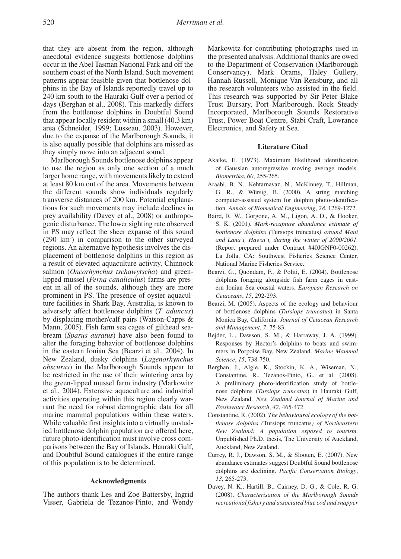that they are absent from the region, although anecdotal evidence suggests bottlenose dolphins occur in the Abel Tasman National Park and off the southern coast of the North Island. Such movement patterns appear feasible given that bottlenose dolphins in the Bay of Islands reportedly travel up to 240 km south to the Hauraki Gulf over a period of days (Berghan et al., 2008). This markedly differs from the bottlenose dolphins in Doubtful Sound that appear locally resident within a small (40.3 km) area (Schneider, 1999; Lusseau, 2003). However, due to the expanse of the Marlborough Sounds, it is also equally possible that dolphins are missed as they simply move into an adjacent sound.

Marlborough Sounds bottlenose dolphins appear to use the region as only one section of a much larger home range, with movements likely to extend at least 80 km out of the area. Movements between the different sounds show individuals regularly transverse distances of 200 km. Potential explanations for such movements may include declines in prey availability (Davey et al., 2008) or anthropogenic disturbance. The lower sighting rate observed in PS may reflect the sheer expanse of this sound (290 km2 ) in comparison to the other surveyed regions. An alternative hypothesis involves the displacement of bottlenose dolphins in this region as a result of elevated aquaculture activity. Chinnock salmon (*Oncorhynchus tschawytscha*) and greenlipped mussel (*Perna canaliculus*) farms are present in all of the sounds, although they are more prominent in PS. The presence of oyster aquaculture facilities in Shark Bay, Australia, is known to adversely affect bottlenose dolphins (*T. aduncus*) by displacing mother/calf pairs (Watson-Capps & Mann, 2005). Fish farm sea cages of gilthead seabream (*Sparus auratus*) have also been found to alter the foraging behavior of bottlenose dolphins in the eastern Ionian Sea (Bearzi et al., 2004). In New Zealand, dusky dolphins (*Lagenorhynchus obscurus*) in the Marlborough Sounds appear to be restricted in the use of their wintering area by the green-lipped mussel farm industry (Markowitz et al., 2004). Extensive aquaculture and industrial activities operating within this region clearly warrant the need for robust demographic data for all marine mammal populations within these waters. While valuable first insights into a virtually unstudied bottlenose dolphin population are offered here, future photo-identification must involve cross comparisons between the Bay of Islands, Hauraki Gulf, and Doubtful Sound catalogues if the entire range of this population is to be determined.

# **Acknowledgments**

The authors thank Les and Zoe Battersby, Ingrid Visser, Gabriela de Tezanos-Pinto, and Wendy Markowitz for contributing photographs used in the presented analysis. Additional thanks are owed to the Department of Conservation (Marlborough Conservancy), Mark Orams, Haley Gullery, Hannah Russell, Monique Van Rensburg, and all the research volunteers who assisted in the field. This research was supported by Sir Peter Blake Trust Bursary, Port Marlborough, Rock Steady Incorporated, Marlborough Sounds Restorative Trust, Power Boat Centre, Stabi Craft, Lowrance Electronics, and Safety at Sea.

## **Literature Cited**

- Akaike, H. (1973). Maximum likelihood identification of Gaussian autoregressive moving average models. *Biometrika*, *60*, 255-265.
- Araabi, B. N., Kehtarnavaz, N., McKinney, T., Hillman, G. R., & Würsig, B. (2000). A string matching computer-assisted system for dolphin photo-identification. *Annals of Biomedical Engineering*, *28*, 1269-1272.
- Baird, R. W., Gorgone, A. M., Ligon, A. D., & Hooker, S. K. (2001). *Mark-recapture abundance estimate of bottlenose dolphins (*Tursiops truncatus*) around Maui and Lana'i, Hawai'i, during the winter of 2000/2001.*  (Report prepared under Contract #40JGNF0-00262). La Jolla, CA: Southwest Fisheries Science Center, National Marine Fisheries Service.
- Bearzi, G., Quondam, F., & Politi, E. (2004). Bottlenose dolphins foraging alongside fish farm cages in eastern Ionian Sea coastal waters. *European Research on Cetaceans*, *15*, 292-293.
- Bearzi, M. (2005). Aspects of the ecology and behaviour of bottlenose dolphins (*Tursiops truncatus*) in Santa Monica Bay, California. *Journal of Cetacean Research and Management*, *7*, 75-83.
- Bejder, L., Dawson, S. M., & Harraway, J. A. (1999). Responses by Hector's dolphins to boats and swimmers in Porpoise Bay, New Zealand. *Marine Mammal Science*, *15*, 738-750.
- Berghan, J., Algie, K., Stockin, K. A., Wiseman, N., Constantine, R., Tezanos-Pinto, G., et al. (2008). A preliminary photo-identification study of bottlenose dolphins (*Tursiops truncatus*) in Hauraki Gulf, New Zealand. *New Zealand Journal of Marine and Freshwater Research*, *42*, 465-472.
- Constantine, R. (2002). *The behavioural ecology of the bottlenose dolphins (*Tursiops truncatus*) of Northeastern New Zealand: A population exposed to tourism.* Unpublished Ph.D. thesis, The University of Auckland, Auckland, New Zealand.
- Currey, R. J., Dawson, S. M., & Slooten, E. (2007). New abundance estimates suggest Doubtful Sound bottlenose dolphins are declining. *Pacific Conservation Biology*, *13*, 265-273.
- Davey, N. K., Hartill, B., Cairney, D. G., & Cole, R. G. (2008). *Characterisation of the Marlborough Sounds recreational fishery and associated blue cod and snapper*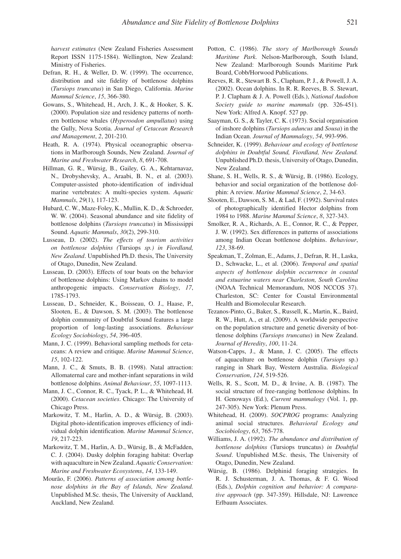*harvest estimates* (New Zealand Fisheries Assessment Report ISSN 1175-1584). Wellington, New Zealand: Ministry of Fisheries.

- Defran, R. H., & Weller, D. W. (1999). The occurrence, distribution and site fidelity of bottlenose dolphins (*Tursiops truncatus*) in San Diego, California. *Marine Mammal Science*, *15*, 366-380.
- Gowans, S., Whitehead, H., Arch, J. K., & Hooker, S. K. (2000). Population size and residency patterns of northern bottlenose whales (*Hyperoodon ampullatus*) using the Gully, Nova Scotia. *Journal of Cetacean Research and Management*, *2*, 201-210.
- Heath, R. A. (1974). Physical oceanographic observations in Marlborough Sounds, New Zealand. *Journal of Marine and Freshwater Research*, *8*, 691-708.
- Hillman, G. R., Würsig, B., Gailey, G. A., Kehtarnavaz, N., Drobyshevsky, A., Araabi, B. N., et al. (2003). Computer-assisted photo-identification of individual marine vertebrates: A multi-species system. *Aquatic Mammals*, *29*(1), 117-123.
- Hubard, C. W., Maze-Foley, K., Mullin, K. D., & Schroeder, W. W. (2004). Seasonal abundance and site fidelity of bottlenose dolphins (*Tursiops truncatus*) in Mississippi Sound. *Aquatic Mammals*, *30*(2), 299-310.
- Lusseau, D. (2002). *The effects of tourism activities on bottlenose dolphins (*Tursiops *sp.) in Fiordland, New Zealand*. Unpublished Ph.D. thesis, The University of Otago, Dunedin, New Zealand.
- Lusseau, D. (2003). Effects of tour boats on the behavior of bottlenose dolphins: Using Markov chains to model anthropogenic impacts. *Conservation Biology*, *17*, 1785-1793.
- Lusseau, D., Schneider, K., Boisseau, O. J., Haase, P., Slooten, E., & Dawson, S. M. (2003). The bottlenose dolphin community of Doubtful Sound features a large proportion of long-lasting associations. *Behaviour Ecology Sociobiology*, *54*, 396-405.
- Mann, J. C. (1999). Behavioral sampling methods for cetaceans: A review and critique. *Marine Mammal Science*, *15*, 102-122.
- Mann, J. C., & Smuts, B. B. (1998). Natal attraction: Allomaternal care and mother-infant separations in wild bottlenose dolphins. *Animal Behaviour*, *55*, 1097-1113.
- Mann, J. C., Connor, R. C., Tyack, P. L., & Whitehead, H. (2000). *Cetacean societies*. Chicago: The University of Chicago Press.
- Markowitz, T. M., Harlin, A. D., & Würsig, B. (2003). Digital photo-identification improves efficiency of individual dolphin identification. *Marine Mammal Science*, *19*, 217-223.
- Markowitz, T. M., Harlin, A. D., Würsig, B., & McFadden, C. J. (2004). Dusky dolphin foraging habitat: Overlap with aquaculture in New Zealand. *Aquatic Conservation: Marine and Freshwater Ecosystems*, *14*, 133-149.
- Mourão, F. (2006). *Patterns of association among bottlenose dolphins in the Bay of Islands, New Zealand.* Unpublished M.Sc. thesis, The University of Auckland, Auckland, New Zealand.
- Potton, C. (1986). *The story of Marlborough Sounds Maritime Park.* Nelson-Marlborough, South Island, New Zealand: Marlborough Sounds Maritime Park Board, Cobb/Horwood Publications.
- Reeves, R. R., Stewart B. S., Clapham, P. J., & Powell, J. A. (2002). Ocean dolphins. In R. R. Reeves, B. S. Stewart, P. J. Clapham & J. A. Powell (Eds.), *National Audobon Society guide to marine mammals* (pp. 326-451)*.* New York: Alfred A. Knopf. 527 pp.
- Saayman, G. S., & Tayler, C. K. (1973). Social organisation of inshore dolphins (*Tursiops aduncus* and *Sousa*) in the Indian Ocean. *Journal of Mammalogy*, *54*, 993-996.
- Schneider, K. (1999). *Behaviour and ecology of bottlenose dolphins in Doubtful Sound, Fiordland, New Zealand.* Unpublished Ph.D. thesis, University of Otago, Dunedin, New Zealand.
- Shane, S. H., Wells, R. S., & Würsig, B. (1986). Ecology, behavior and social organization of the bottlenose dolphin: A review. *Marine Mammal Science*, *2*, 34-63.
- Slooten, E., Dawson, S. M., & Lad, F. (1992). Survival rates of photographically identified Hector dolphins from 1984 to 1988. *Marine Mammal Science*, *8*, 327-343.
- Smolker, R. A., Richards, A. E., Connor, R. C., & Pepper, J. W. (1992). Sex differences in patterns of associations among Indian Ocean bottlenose dolphins. *Behaviour*, *123*, 38-69.
- Speakman, T., Zolman, E., Adams, J., Defran, R. H., Laska, D., Schwacke, L., et al. (2006). *Temporal and spatial aspects of bottlenose dolphin occurrence in coastal and estuarine waters near Charleston, South Carolina*  (NOAA Technical Memorandum, NOS NCCOS 37). Charleston, SC: Center for Coastal Environmental Health and Biomolecular Research.
- Tezanos-Pinto, G., Baker, S., Russell, K., Martin, K., Baird, R. W., Hutt, A., et al. (2009). A worldwide perspective on the population structure and genetic diversity of bottlenose dolphins (*Tursiops truncatus*) in New Zealand. *Journal of Heredity*, *100*, 11-24.
- Watson-Capps, J., & Mann, J. C. (2005). The effects of aquaculture on bottlenose dolphin (*Tursiops* sp.) ranging in Shark Bay, Western Australia. *Biological Conservation*, *124*, 519-526.
- Wells, R. S., Scott, M. D., & Irvine, A. B. (1987). The social structure of free-ranging bottlenose dolphins. In H. Genoways (Ed.), *Current mammalogy* (Vol. 1, pp. 247-305). New York: Plenum Press.
- Whitehead, H. (2009). *SOCPROG* programs: Analyzing animal social structures. *Behavioral Ecology and Sociobiology*, *63*, 765-778.
- Williams, J. A. (1992). *The abundance and distribution of bottlenose dolphins* (Tursiops truncatus) *in Doubtful Sound*. Unpublished M.Sc. thesis, The University of Otago, Dunedin, New Zealand.
- Würsig, B. (1986). Delphinid foraging strategies. In R. J. Schusterman, J. A. Thomas, & F. G. Wood (Eds.), *Dolphin cognition and behavior: A comparative approach* (pp. 347-359). Hillsdale, NJ: Lawrence Erlbaum Associates.